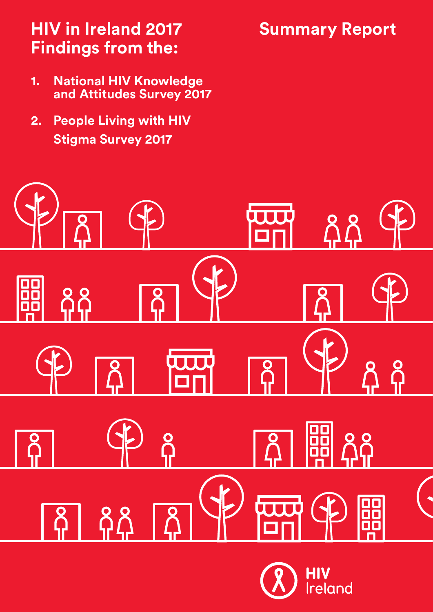### **HIV in Ireland 2017 Findings from the:**

- **1. National HIV Knowledge and Attitudes Survey 2017**
- **2. People Living with HIV Stigma Survey 2017**

## **Summary Report**

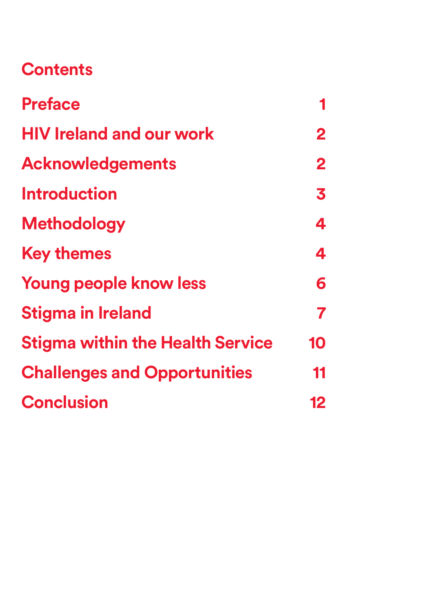### **Contents**

| <b>Preface</b>                          |              |
|-----------------------------------------|--------------|
| <b>HIV Ireland and our work</b>         | $\mathbf 2$  |
| <b>Acknowledgements</b>                 | $\mathbf{2}$ |
| <b>Introduction</b>                     | 3            |
| <b>Methodology</b>                      | 4            |
| <b>Key themes</b>                       | 4            |
| <b>Young people know less</b>           | 6            |
| <b>Stigma in Ireland</b>                | 7            |
| <b>Stigma within the Health Service</b> | 10           |
| <b>Challenges and Opportunities</b>     | 11           |
| <b>Conclusion</b>                       | 12           |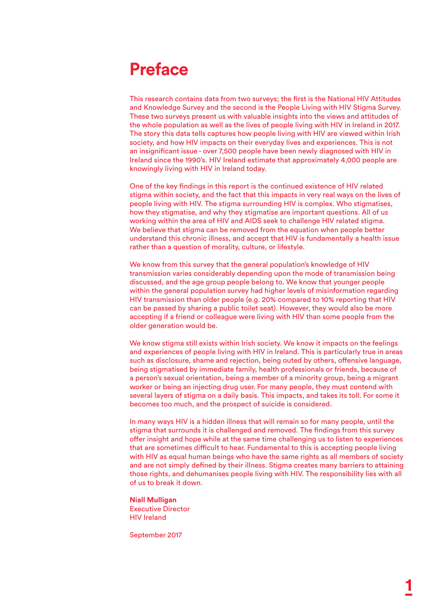#### **Preface**

This research contains data from two surveys; the first is the National HIV Attitudes and Knowledge Survey and the second is the People Living with HIV Stigma Survey. These two surveys present us with valuable insights into the views and attitudes of the whole population as well as the lives of people living with HIV in Ireland in 2017. The story this data tells captures how people living with HIV are viewed within Irish society, and how HIV impacts on their everyday lives and experiences. This is not an insignificant issue - over 7,500 people have been newly diagnosed with HIV in Ireland since the 1990's. HIV Ireland estimate that approximately 4,000 people are knowingly living with HIV in Ireland today.

One of the key findings in this report is the continued existence of HIV related stigma within society, and the fact that this impacts in very real ways on the lives of people living with HIV. The stigma surrounding HIV is complex. Who stigmatises, how they stigmatise, and why they stigmatise are important questions. All of us working within the area of HIV and AIDS seek to challenge HIV related stigma. We believe that stigma can be removed from the equation when people better understand this chronic illness, and accept that HIV is fundamentally a health issue rather than a question of morality, culture, or lifestyle.

We know from this survey that the general population's knowledge of HIV transmission varies considerably depending upon the mode of transmission being discussed, and the age group people belong to. We know that younger people within the general population survey had higher levels of misinformation regarding HIV transmission than older people (e.g. 20% compared to 10% reporting that HIV can be passed by sharing a public toilet seat). However, they would also be more accepting if a friend or colleague were living with HIV than some people from the older generation would be.

We know stigma still exists within Irish society. We know it impacts on the feelings and experiences of people living with HIV in Ireland. This is particularly true in areas such as disclosure, shame and rejection, being outed by others, offensive language, being stigmatised by immediate family, health professionals or friends, because of a person's sexual orientation, being a member of a minority group, being a migrant worker or being an injecting drug user. For many people, they must contend with several layers of stigma on a daily basis. This impacts, and takes its toll. For some it becomes too much, and the prospect of suicide is considered.

In many ways HIV is a hidden illness that will remain so for many people, until the stigma that surrounds it is challenged and removed. The findings from this survey offer insight and hope while at the same time challenging us to listen to experiences that are sometimes difficult to hear. Fundamental to this is accepting people living with HIV as equal human beings who have the same rights as all members of society and are not simply defined by their illness. Stigma creates many barriers to attaining those rights, and dehumanises people living with HIV. The responsibility lies with all of us to break it down.

#### **Niall Mulligan**

Executive Director HIV Ireland

September 2017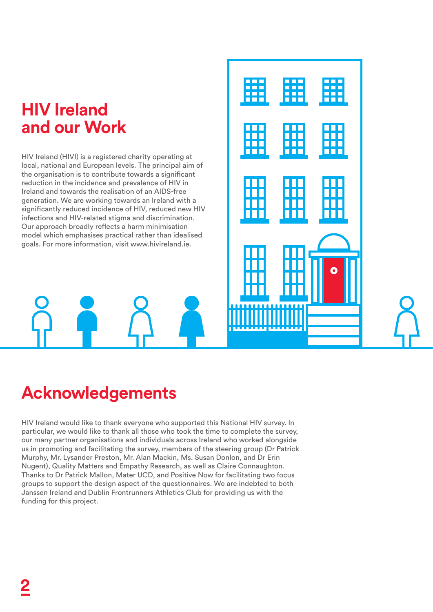#### **HIV Ireland and our Work**

HIV Ireland (HIVI) is a registered charity operating at local, national and European levels. The principal aim of the organisation is to contribute towards a significant reduction in the incidence and prevalence of HIV in Ireland and towards the realisation of an AIDS-free generation. We are working towards an Ireland with a significantly reduced incidence of HIV, reduced new HIV infections and HIV-related stigma and discrimination. Our approach broadly reflects a harm minimisation model which emphasises practical rather than idealised goals. For more information, visit www.hivireland.ie.

. . . n n n



### **Acknowledgements**

HIV Ireland would like to thank everyone who supported this National HIV survey. In particular, we would like to thank all those who took the time to complete the survey, our many partner organisations and individuals across Ireland who worked alongside us in promoting and facilitating the survey, members of the steering group (Dr Patrick Murphy, Mr. Lysander Preston, Mr. Alan Mackin, Ms. Susan Donlon, and Dr Erin Nugent), Quality Matters and Empathy Research, as well as Claire Connaughton. Thanks to Dr Patrick Mallon, Mater UCD, and Positive Now for facilitating two focus groups to support the design aspect of the questionnaires. We are indebted to both Janssen Ireland and Dublin Frontrunners Athletics Club for providing us with the funding for this project.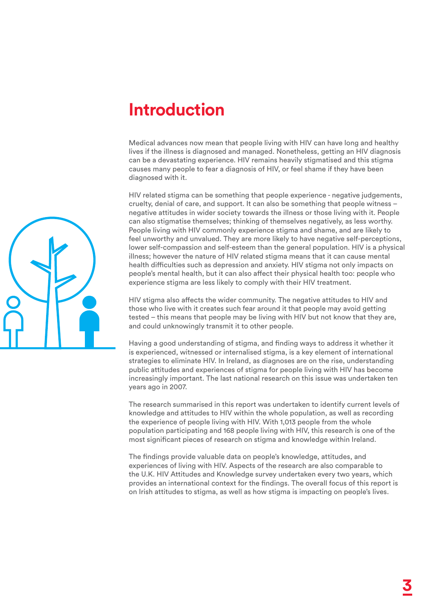### **Introduction**

Medical advances now mean that people living with HIV can have long and healthy lives if the illness is diagnosed and managed. Nonetheless, getting an HIV diagnosis can be a devastating experience. HIV remains heavily stigmatised and this stigma causes many people to fear a diagnosis of HIV, or feel shame if they have been diagnosed with it.

HIV related stigma can be something that people experience - negative judgements, cruelty, denial of care, and support. It can also be something that people witness – negative attitudes in wider society towards the illness or those living with it. People can also stigmatise themselves; thinking of themselves negatively, as less worthy. People living with HIV commonly experience stigma and shame, and are likely to feel unworthy and unvalued. They are more likely to have negative self-perceptions, lower self-compassion and self-esteem than the general population. HIV is a physical illness; however the nature of HIV related stigma means that it can cause mental health difficulties such as depression and anxiety. HIV stigma not only impacts on people's mental health, but it can also affect their physical health too: people who experience stigma are less likely to comply with their HIV treatment.

HIV stigma also affects the wider community. The negative attitudes to HIV and those who live with it creates such fear around it that people may avoid getting tested – this means that people may be living with HIV but not know that they are, and could unknowingly transmit it to other people.

Having a good understanding of stigma, and finding ways to address it whether it is experienced, witnessed or internalised stigma, is a key element of international strategies to eliminate HIV. In Ireland, as diagnoses are on the rise, understanding public attitudes and experiences of stigma for people living with HIV has become increasingly important. The last national research on this issue was undertaken ten years ago in 2007.

The research summarised in this report was undertaken to identify current levels of knowledge and attitudes to HIV within the whole population, as well as recording the experience of people living with HIV. With 1,013 people from the whole population participating and 168 people living with HIV, this research is one of the most significant pieces of research on stigma and knowledge within Ireland.

The findings provide valuable data on people's knowledge, attitudes, and experiences of living with HIV. Aspects of the research are also comparable to the U.K. HIV Attitudes and Knowledge survey undertaken every two years, which provides an international context for the findings. The overall focus of this report is on Irish attitudes to stigma, as well as how stigma is impacting on people's lives.

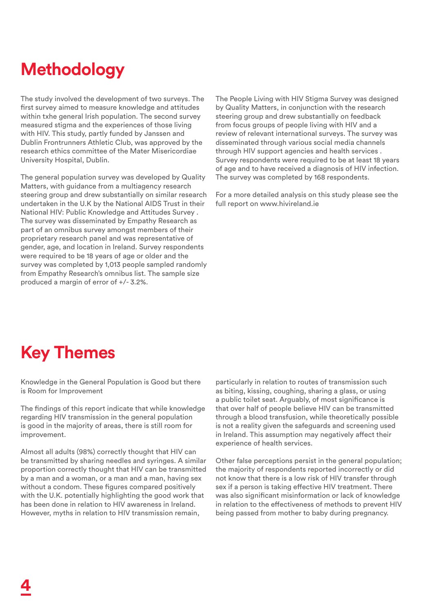### **Methodology**

The study involved the development of two surveys. The first survey aimed to measure knowledge and attitudes within txhe general Irish population. The second survey measured stigma and the experiences of those living with HIV. This study, partly funded by Janssen and Dublin Frontrunners Athletic Club, was approved by the research ethics committee of the Mater Misericordiae University Hospital, Dublin.

The general population survey was developed by Quality Matters, with guidance from a multiagency research steering group and drew substantially on similar research undertaken in the U.K by the National AIDS Trust in their National HIV: Public Knowledge and Attitudes Survey . The survey was disseminated by Empathy Research as part of an omnibus survey amongst members of their proprietary research panel and was representative of gender, age, and location in Ireland. Survey respondents were required to be 18 years of age or older and the survey was completed by 1,013 people sampled randomly from Empathy Research's omnibus list. The sample size produced a margin of error of +/- 3.2%.

The People Living with HIV Stigma Survey was designed by Quality Matters, in conjunction with the research steering group and drew substantially on feedback from focus groups of people living with HIV and a review of relevant international surveys. The survey was disseminated through various social media channels through HIV support agencies and health services . Survey respondents were required to be at least 18 years of age and to have received a diagnosis of HIV infection. The survey was completed by 168 respondents.

For a more detailed analysis on this study please see the full report on www.hivireland.ie

### **Key Themes**

Knowledge in the General Population is Good but there is Room for Improvement

The findings of this report indicate that while knowledge regarding HIV transmission in the general population is good in the majority of areas, there is still room for improvement.

Almost all adults (98%) correctly thought that HIV can be transmitted by sharing needles and syringes. A similar proportion correctly thought that HIV can be transmitted by a man and a woman, or a man and a man, having sex without a condom. These figures compared positively with the U.K. potentially highlighting the good work that has been done in relation to HIV awareness in Ireland. However, myths in relation to HIV transmission remain,

particularly in relation to routes of transmission such as biting, kissing, coughing, sharing a glass, or using a public toilet seat. Arguably, of most significance is that over half of people believe HIV can be transmitted through a blood transfusion, while theoretically possible is not a reality given the safeguards and screening used in Ireland. This assumption may negatively affect their experience of health services.

Other false perceptions persist in the general population; the majority of respondents reported incorrectly or did not know that there is a low risk of HIV transfer through sex if a person is taking effective HIV treatment. There was also significant misinformation or lack of knowledge in relation to the effectiveness of methods to prevent HIV being passed from mother to baby during pregnancy.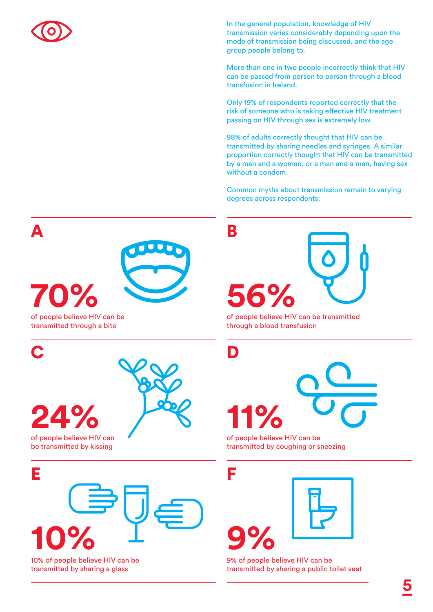

In the general population, knowledge of HIV transmission varies considerably depending upon the mode of transmission being discussed, and the age group people belong to.

More than one in two people incorrectly think that HIV can be passed from person to person through a blood transfusion in Ireland.

Only 19% of respondents reported correctly that the risk of someone who is taking effective HIV treatment passing on HIV through sex is extremely low.

98% of adults correctly thought that HIV can be transmitted by sharing needles and syringes. A similar proportion correctly thought that HIV can be transmitted by a man and a woman, or a man and a man, having sex without a condom.

Common myths about transmission remain to varying degrees across respondents:

transmitted by sharing a public toilet seat

of people believe HIV can be transmitted through a bite of people believe HIV can be transmitted by kissing 10% of people believe HIV can be of people believe HIV can be transmitted through a blood transfusion of people believe HIV can be transmitted by coughing or sneezing 9% of people believe HIV can be A C E B D F **70% 24% 10% 56% 11% 9%**

transmitted by sharing a glass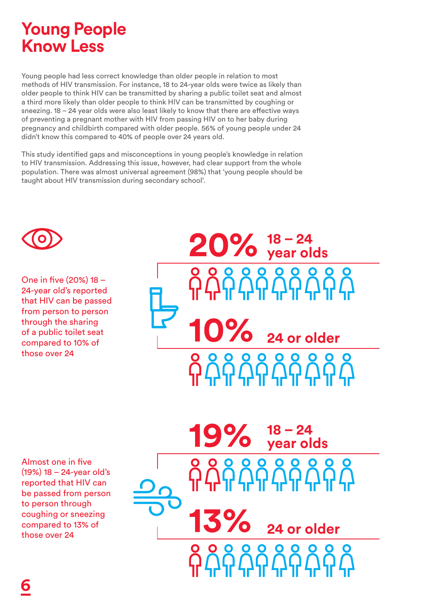#### **Young People Know Less**

Young people had less correct knowledge than older people in relation to most methods of HIV transmission. For instance, 18 to 24-year olds were twice as likely than older people to think HIV can be transmitted by sharing a public toilet seat and almost a third more likely than older people to think HIV can be transmitted by coughing or sneezing. 18 – 24 year olds were also least likely to know that there are effective ways of preventing a pregnant mother with HIV from passing HIV on to her baby during pregnancy and childbirth compared with older people. 56% of young people under 24 didn't know this compared to 40% of people over 24 years old.

This study identified gaps and misconceptions in young people's knowledge in relation to HIV transmission. Addressing this issue, however, had clear support from the whole population. There was almost universal agreement (98%) that 'young people should be taught about HIV transmission during secondary school'.



One in five (20%) 18 – 24-year old's reported that HIV can be passed from person to person through the sharing of a public toilet seat compared to 10% of those over 24

**20% 18 – 24 year olds 10% 24 or older** 

Almost one in five (19%) 18 – 24-year old's reported that HIV can be passed from person to person through coughing or sneezing compared to 13% of those over 24

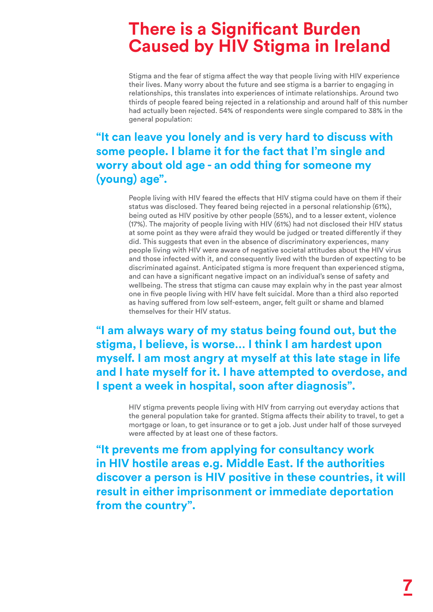#### **There is a Significant Burden Caused by HIV Stigma in Ireland**

Stigma and the fear of stigma affect the way that people living with HIV experience their lives. Many worry about the future and see stigma is a barrier to engaging in relationships, this translates into experiences of intimate relationships. Around two thirds of people feared being rejected in a relationship and around half of this number had actually been rejected. 54% of respondents were single compared to 38% in the general population:

#### **"It can leave you lonely and is very hard to discuss with some people. I blame it for the fact that I'm single and worry about old age - an odd thing for someone my (young) age".**

People living with HIV feared the effects that HIV stigma could have on them if their status was disclosed. They feared being rejected in a personal relationship (61%), being outed as HIV positive by other people (55%), and to a lesser extent, violence (17%). The majority of people living with HIV (61%) had not disclosed their HIV status at some point as they were afraid they would be judged or treated differently if they did. This suggests that even in the absence of discriminatory experiences, many people living with HIV were aware of negative societal attitudes about the HIV virus and those infected with it, and consequently lived with the burden of expecting to be discriminated against. Anticipated stigma is more frequent than experienced stigma, and can have a significant negative impact on an individual's sense of safety and wellbeing. The stress that stigma can cause may explain why in the past year almost one in five people living with HIV have felt suicidal. More than a third also reported as having suffered from low self-esteem, anger, felt guilt or shame and blamed themselves for their HIV status.

**"I am always wary of my status being found out, but the stigma, I believe, is worse… I think I am hardest upon myself. I am most angry at myself at this late stage in life and I hate myself for it. I have attempted to overdose, and I spent a week in hospital, soon after diagnosis".**

> HIV stigma prevents people living with HIV from carrying out everyday actions that the general population take for granted. Stigma affects their ability to travel, to get a mortgage or loan, to get insurance or to get a job. Just under half of those surveyed were affected by at least one of these factors.

**"It prevents me from applying for consultancy work in HIV hostile areas e.g. Middle East. If the authorities discover a person is HIV positive in these countries, it will result in either imprisonment or immediate deportation from the country".**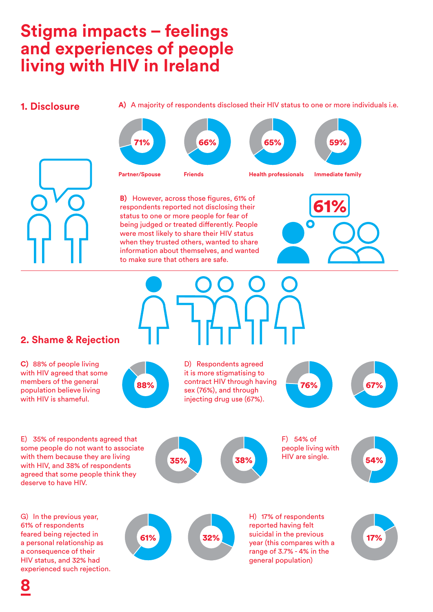#### **Stigma impacts – feelings and experiences of people living with HIV in Ireland**

**1. Disclosure**

**A)** A majority of respondents disclosed their HIV status to one or more individuals i.e.

61%



**B)** However, across those figures, 61% of respondents reported not disclosing their status to one or more people for fear of being judged or treated differently. People were most likely to share their HIV status when they trusted others, wanted to share information about themselves, and wanted to make sure that others are safe.

**2. Shame & Rejection**

D) Respondents agreed it is more stigmatising to contract HIV through having sex (76%), and through injecting drug use (67%). E) 35% of respondents agreed that some people do not want to associate with them because they are living with HIV, and 38% of respondents agreed that some people think they deserve to have HIV. F) 54% of people living with HIV are single. **C)** 88% of people living with HIV agreed that some members of the general population believe living with HIV is shameful. 88% 35% 38% 76% 67% 54%

G) In the previous year, 61% of respondents feared being rejected in a personal relationship as a consequence of their HIV status, and 32% had experienced such rejection.



H) 17% of respondents reported having felt suicidal in the previous year (this compares with a range of 3.7% - 4% in the general population)

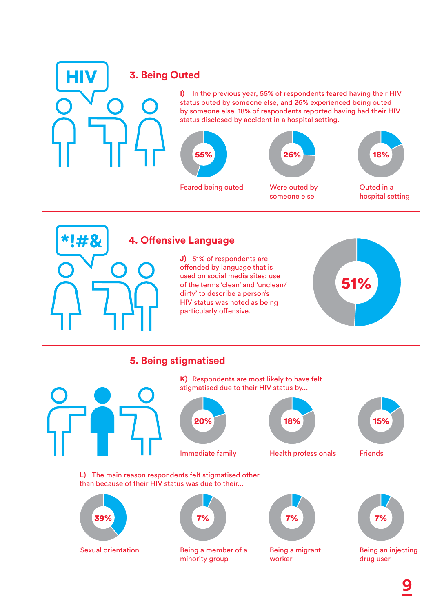

#### **4. Offensive Language**

**J)** 51% of respondents are offended by language that is used on social media sites; use of the terms 'clean' and 'unclean/ dirty' to describe a person's HIV status was noted as being particularly offensive.



**5. Being stigmatised** 



\*!#&

**K)** Respondents are most likely to have felt stigmatised due to their HIV status by...



Health professionals

Friends 15%







Immediate family

20%



Being a migrant worker



Being an injecting drug user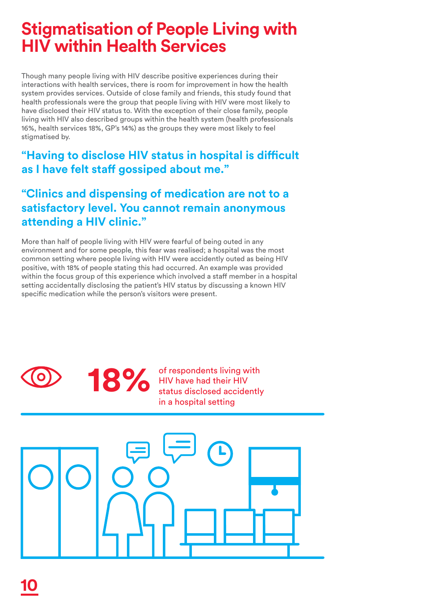#### **Stigmatisation of People Living with HIV within Health Services**

Though many people living with HIV describe positive experiences during their interactions with health services, there is room for improvement in how the health system provides services. Outside of close family and friends, this study found that health professionals were the group that people living with HIV were most likely to have disclosed their HIV status to. With the exception of their close family, people living with HIV also described groups within the health system (health professionals 16%, health services 18%, GP's 14%) as the groups they were most likely to feel stigmatised by.

#### **"Having to disclose HIV status in hospital is difficult as I have felt staff gossiped about me."**

#### **"Clinics and dispensing of medication are not to a satisfactory level. You cannot remain anonymous attending a HIV clinic."**

More than half of people living with HIV were fearful of being outed in any environment and for some people, this fear was realised; a hospital was the most common setting where people living with HIV were accidently outed as being HIV positive, with 18% of people stating this had occurred. An example was provided within the focus group of this experience which involved a staff member in a hospital setting accidentally disclosing the patient's HIV status by discussing a known HIV specific medication while the person's visitors were present.



**18%**

of respondents living with HIV have had their HIV status disclosed accidently in a hospital setting

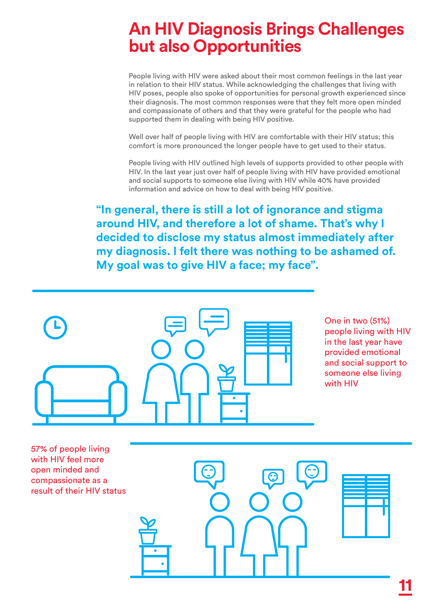#### **An HIV Diagnosis Brings Challenges but also Opportunities**

People living with HIV were asked about their most common feelings in the last year in relation to their HIV status. While acknowledging the challenges that living with HIV poses, people also spoke of opportunities for personal growth experienced since their diagnosis. The most common responses were that they felt more open minded and compassionate of others and that they were grateful for the people who had supported them in dealing with being HIV positive.

Well over half of people living with HIV are comfortable with their HIV status; this comfort is more pronounced the longer people have to get used to their status.

People living with HIV outlined high levels of supports provided to other people with HIV. In the last year just over half of people living with HIV have provided emotional and social supports to someone else living with HIV while 40% have provided information and advice on how to deal with being HIV positive.

**"In general, there is still a lot of ignorance and stigma around HIV, and therefore a lot of shame. That's why I decided to disclose my status almost immediately after my diagnosis. I felt there was nothing to be ashamed of. My goal was to give HIV a face; my face".**



One in two (51%) people living with HIV in the last year have provided emotional and social support to someone else living with HIV

57% of people living with HIV feel more open minded and compassionate as a result of their HIV status

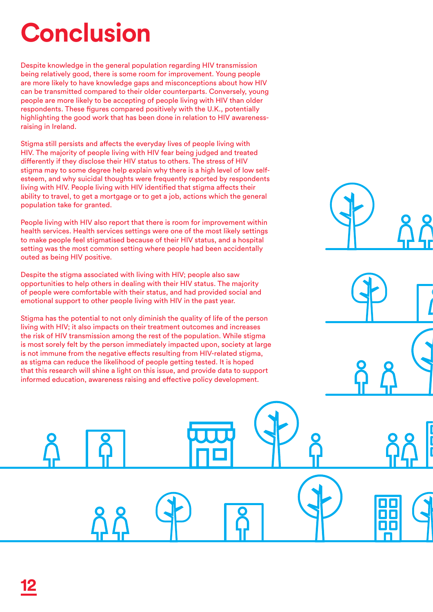# **Conclusion**

Despite knowledge in the general population regarding HIV transmission being relatively good, there is some room for improvement. Young people are more likely to have knowledge gaps and misconceptions about how HIV can be transmitted compared to their older counterparts. Conversely, young people are more likely to be accepting of people living with HIV than older respondents. These figures compared positively with the U.K., potentially highlighting the good work that has been done in relation to HIV awarenessraising in Ireland.

Stigma still persists and affects the everyday lives of people living with HIV. The majority of people living with HIV fear being judged and treated differently if they disclose their HIV status to others. The stress of HIV stigma may to some degree help explain why there is a high level of low selfesteem, and why suicidal thoughts were frequently reported by respondents living with HIV. People living with HIV identified that stigma affects their ability to travel, to get a mortgage or to get a job, actions which the general population take for granted.

People living with HIV also report that there is room for improvement within health services. Health services settings were one of the most likely settings to make people feel stigmatised because of their HIV status, and a hospital setting was the most common setting where people had been accidentally outed as being HIV positive.

Despite the stigma associated with living with HIV; people also saw opportunities to help others in dealing with their HIV status. The majority of people were comfortable with their status, and had provided social and emotional support to other people living with HIV in the past year.

Stigma has the potential to not only diminish the quality of life of the person living with HIV; it also impacts on their treatment outcomes and increases the risk of HIV transmission among the rest of the population. While stigma is most sorely felt by the person immediately impacted upon, society at large is not immune from the negative effects resulting from HIV-related stigma, as stigma can reduce the likelihood of people getting tested. It is hoped that this research will shine a light on this issue, and provide data to support informed education, awareness raising and effective policy development.

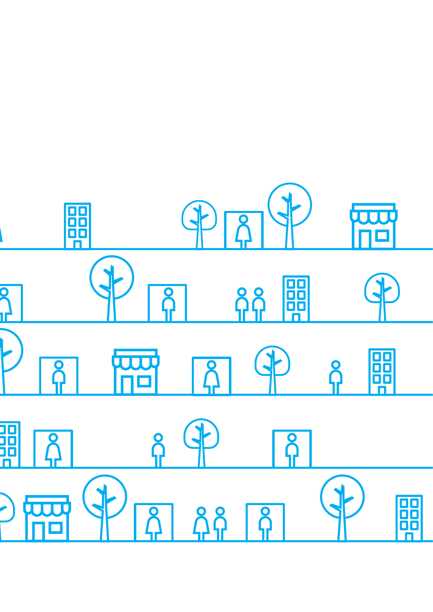